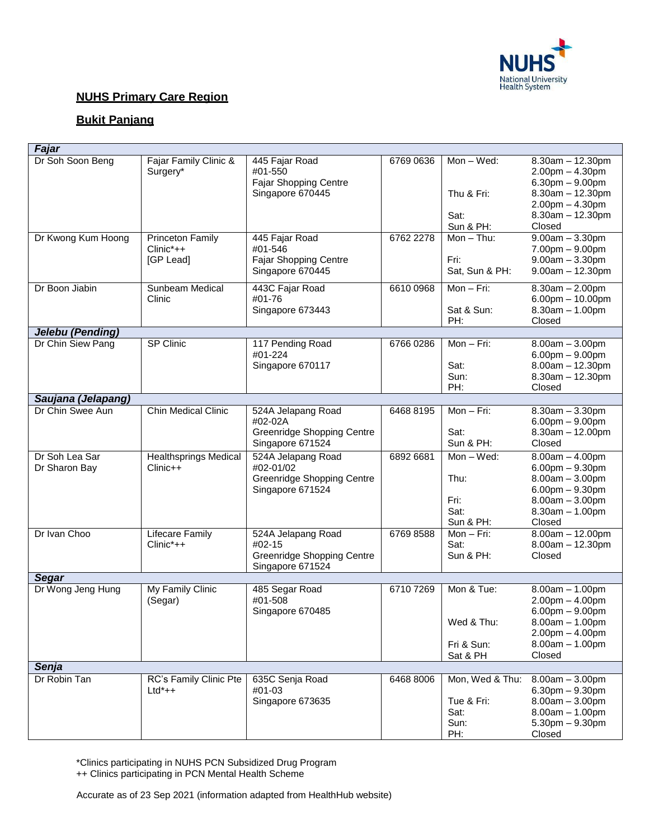

### **NUHS Primary Care Region**

## **Bukit Panjang**

| Fajar                           |                                                      |                                                                                          |           |                                                      |                                                                                                                                                |
|---------------------------------|------------------------------------------------------|------------------------------------------------------------------------------------------|-----------|------------------------------------------------------|------------------------------------------------------------------------------------------------------------------------------------------------|
| Dr Soh Soon Beng                | Fajar Family Clinic &<br>Surgery*                    | 445 Fajar Road<br>#01-550<br>Fajar Shopping Centre<br>Singapore 670445                   | 6769 0636 | Mon-Wed:<br>Thu & Fri:<br>Sat:<br>Sun & PH:          | $8.30$ am $-12.30$ pm<br>$2.00$ pm $- 4.30$ pm<br>$6.30pm - 9.00pm$<br>$8.30am - 12.30pm$<br>$2.00pm - 4.30pm$<br>$8.30am - 12.30pm$<br>Closed |
| Dr Kwong Kum Hoong              | <b>Princeton Family</b><br>$Clinic^*++$<br>[GP Lead] | 445 Fajar Road<br>#01-546<br>Fajar Shopping Centre<br>Singapore 670445                   | 6762 2278 | $Mon - Thu$ :<br>Fri:<br>Sat, Sun & PH:              | $9.00am - 3.30pm$<br>$7.00pm - 9.00pm$<br>$9.00am - 3.30pm$<br>$9.00am - 12.30pm$                                                              |
| Dr Boon Jiabin                  | Sunbeam Medical<br>Clinic                            | 443C Fajar Road<br>#01-76<br>Singapore 673443                                            | 6610 0968 | Mon $-$ Fri:<br>Sat & Sun:<br>PH:                    | $8.30am - 2.00pm$<br>$6.00$ pm $- 10.00$ pm<br>$8.30am - 1.00pm$<br>Closed                                                                     |
| Jelebu (Pending)                |                                                      |                                                                                          |           |                                                      |                                                                                                                                                |
| Dr Chin Siew Pang               | SP Clinic                                            | 117 Pending Road<br>#01-224<br>Singapore 670117                                          | 6766 0286 | Mon-Fri:<br>Sat:<br>Sun:<br>PH:                      | $8.00am - 3.00pm$<br>$6.00$ pm $-9.00$ pm<br>$8.00am - 12.30pm$<br>$8.30am - 12.30pm$<br>Closed                                                |
| Saujana (Jelapang)              |                                                      |                                                                                          |           |                                                      |                                                                                                                                                |
| Dr Chin Swee Aun                | <b>Chin Medical Clinic</b>                           | 524A Jelapang Road<br>#02-02A<br><b>Greenridge Shopping Centre</b><br>Singapore 671524   | 6468 8195 | Mon $-$ Fri:<br>Sat:<br>Sun & PH:                    | $8.30am - 3.30pm$<br>$6.00pm - 9.00pm$<br>$8.30$ am $- 12.00$ pm<br>Closed                                                                     |
| Dr Soh Lea Sar<br>Dr Sharon Bay | <b>Healthsprings Medical</b><br>$Clinic++$           | 524A Jelapang Road<br>#02-01/02<br><b>Greenridge Shopping Centre</b><br>Singapore 671524 | 6892 6681 | Mon-Wed:<br>Thu:<br>Fri:<br>Sat:<br>Sun & PH:        | $8.00am - 4.00pm$<br>$6.00$ pm $- 9.30$ pm<br>$8.00am - 3.00pm$<br>$6.00$ pm $- 9.30$ pm<br>$8.00am - 3.00pm$<br>$8.30am - 1.00pm$<br>Closed   |
| Dr Ivan Choo                    | Lifecare Family<br>$Clinic^*++$                      | 524A Jelapang Road<br>#02-15<br><b>Greenridge Shopping Centre</b><br>Singapore 671524    | 6769 8588 | Mon - Fri:<br>Sat:<br>Sun & PH:                      | $8.00am - 12.00pm$<br>$8.00am - 12.30pm$<br>Closed                                                                                             |
| <b>Segar</b>                    |                                                      |                                                                                          |           |                                                      |                                                                                                                                                |
| Dr Wong Jeng Hung               | My Family Clinic<br>(Segar)                          | 485 Segar Road<br>#01-508<br>Singapore 670485                                            | 6710 7269 | Mon & Tue:<br>Wed & Thu:<br>Fri & Sun:<br>Sat & PH   | $8.00am - 1.00pm$<br>$2.00pm - 4.00pm$<br>$6.00pm - 9.00pm$<br>$8.00$ am $-1.00$ pm<br>$2.00$ pm $- 4.00$ pm<br>$8.00am - 1.00pm$<br>Closed    |
| Senja                           |                                                      |                                                                                          |           |                                                      |                                                                                                                                                |
| Dr Robin Tan                    | RC's Family Clinic Pte<br>$Ltd^*++$                  | 635C Senja Road<br>#01-03<br>Singapore 673635                                            | 6468 8006 | Mon, Wed & Thu:<br>Tue & Fri:<br>Sat:<br>Sun:<br>PH: | $8.00am - 3.00pm$<br>$6.30$ pm $- 9.30$ pm<br>$8.00am - 3.00pm$<br>$8.00am - 1.00pm$<br>$5.30$ pm $-9.30$ pm<br>Closed                         |

\*Clinics participating in NUHS PCN Subsidized Drug Program

++ Clinics participating in PCN Mental Health Scheme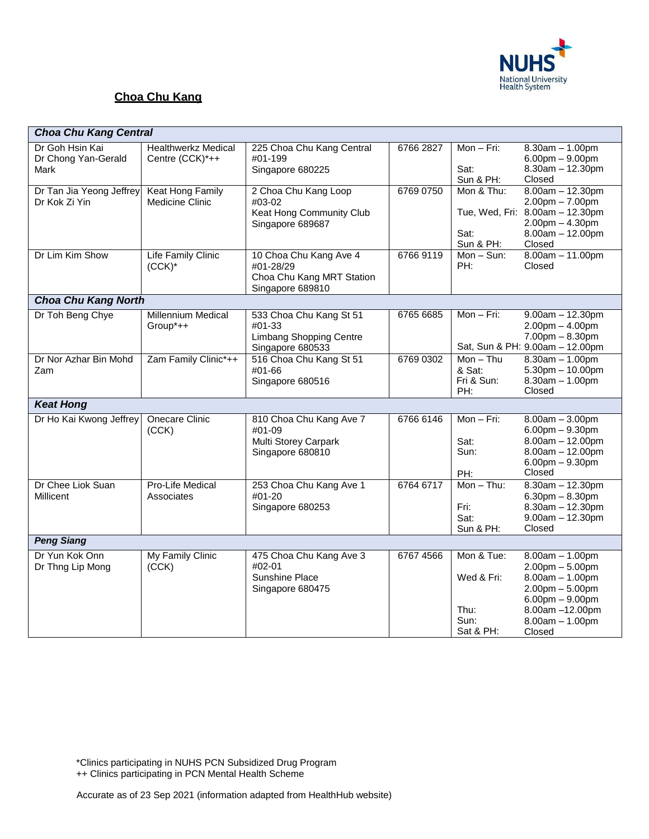

# **Choa Chu Kang**

| <b>Choa Chu Kang Central</b>                   |                                                   |                                                                                      |           |                                                       |                                                                                                                                                                    |  |  |
|------------------------------------------------|---------------------------------------------------|--------------------------------------------------------------------------------------|-----------|-------------------------------------------------------|--------------------------------------------------------------------------------------------------------------------------------------------------------------------|--|--|
| Dr Goh Hsin Kai<br>Dr Chong Yan-Gerald<br>Mark | <b>Healthwerkz Medical</b><br>Centre (CCK)*++     | 225 Choa Chu Kang Central<br>#01-199<br>Singapore 680225                             | 6766 2827 | $Mon-Fri:$<br>Sat:<br>Sun & PH:                       | $8.30am - 1.00pm$<br>$6.00pm - 9.00pm$<br>$8.30$ am $- 12.30$ pm<br>Closed                                                                                         |  |  |
| Dr Tan Jia Yeong Jeffrey<br>Dr Kok Zi Yin      | <b>Keat Hong Family</b><br><b>Medicine Clinic</b> | 2 Choa Chu Kang Loop<br>#03-02<br>Keat Hong Community Club<br>Singapore 689687       | 6769 0750 | Mon & Thu:<br>Sat:<br>Sun & PH:                       | $8.00am - 12.30pm$<br>$2.00$ pm $- 7.00$ pm<br>Tue, Wed, Fri: 8.00am - 12.30pm<br>$2.00$ pm $- 4.30$ pm<br>$8.00am - 12.00pm$<br>Closed                            |  |  |
| Dr Lim Kim Show                                | <b>Life Family Clinic</b><br>$(CCK)^*$            | 10 Choa Chu Kang Ave 4<br>#01-28/29<br>Choa Chu Kang MRT Station<br>Singapore 689810 | 6766 9119 | $Mon-Sun:$<br>PH:                                     | $8.00am - 11.00pm$<br>Closed                                                                                                                                       |  |  |
| <b>Choa Chu Kang North</b>                     |                                                   |                                                                                      |           |                                                       |                                                                                                                                                                    |  |  |
| Dr Toh Beng Chye                               | <b>Millennium Medical</b><br>Group*++             | 533 Choa Chu Kang St 51<br>#01-33<br>Limbang Shopping Centre<br>Singapore 680533     | 6765 6685 | $Mon-Fri:$                                            | $9.00am - 12.30pm$<br>$2.00$ pm $- 4.00$ pm<br>$7.00pm - 8.30pm$<br>Sat, Sun & PH: 9.00am - 12.00pm                                                                |  |  |
| Dr Nor Azhar Bin Mohd<br>Zam                   | Zam Family Clinic*++                              | 516 Choa Chu Kang St 51<br>#01-66<br>Singapore 680516                                | 6769 0302 | $Mon - Thu$<br>& Sat:<br>Fri & Sun:<br>PH:            | $8.30am - 1.00pm$<br>$5.30$ pm $- 10.00$ pm<br>$8.30$ am $- 1.00$ pm<br>Closed                                                                                     |  |  |
| <b>Keat Hong</b>                               |                                                   |                                                                                      |           |                                                       |                                                                                                                                                                    |  |  |
| Dr Ho Kai Kwong Jeffrey                        | <b>Onecare Clinic</b><br>(CCK)                    | 810 Choa Chu Kang Ave 7<br>#01-09<br>Multi Storey Carpark<br>Singapore 680810        | 6766 6146 | $Mon - Fri$ :<br>Sat:<br>Sun:<br>PH:                  | $8.00am - 3.00pm$<br>$6.00$ pm $- 9.30$ pm<br>$8.00am - 12.00pm$<br>$8.00am - 12.00pm$<br>$6.00$ pm $- 9.30$ pm<br>Closed                                          |  |  |
| Dr Chee Liok Suan<br>Millicent                 | Pro-Life Medical<br>Associates                    | 253 Choa Chu Kang Ave 1<br>#01-20<br>Singapore 680253                                | 6764 6717 | $Mon - Thu$ :<br>Fri:<br>Sat:<br>Sun & PH:            | $8.30am - 12.30pm$<br>$6.30$ pm $- 8.30$ pm<br>$8.30$ am $- 12.30$ pm<br>$9.00am - 12.30pm$<br>Closed                                                              |  |  |
| <b>Peng Siang</b>                              |                                                   |                                                                                      |           |                                                       |                                                                                                                                                                    |  |  |
| Dr Yun Kok Onn<br>Dr Thng Lip Mong             | My Family Clinic<br>(CCK)                         | 475 Choa Chu Kang Ave 3<br>#02-01<br>Sunshine Place<br>Singapore 680475              | 6767 4566 | Mon & Tue:<br>Wed & Fri:<br>Thu:<br>Sun:<br>Sat & PH: | $8.00am - 1.00pm$<br>$2.00$ pm $- 5.00$ pm<br>$8.00am - 1.00pm$<br>$2.00$ pm $- 5.00$ pm<br>$6.00$ pm $-9.00$ pm<br>8.00am -12.00pm<br>$8.00am - 1.00pm$<br>Closed |  |  |

++ Clinics participating in PCN Mental Health Scheme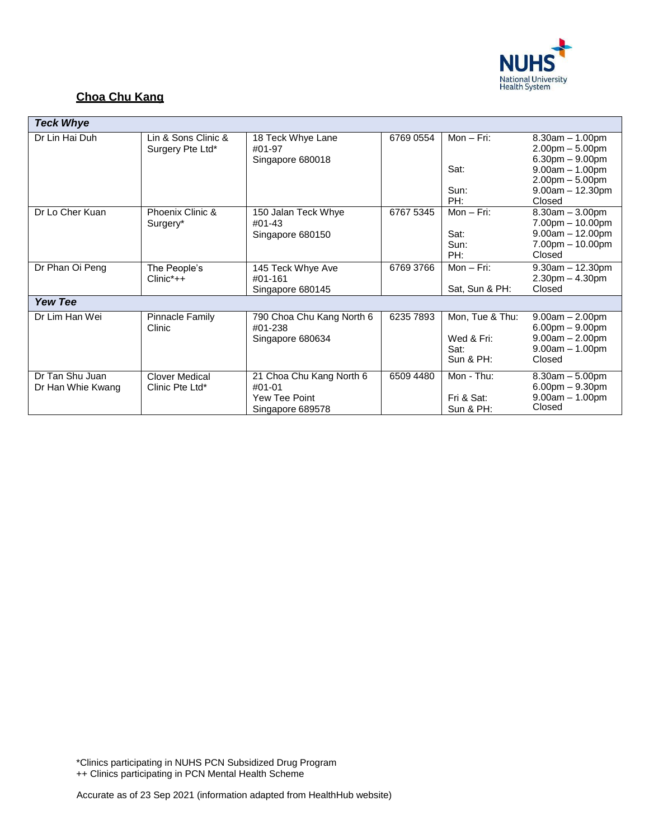

## **Choa Chu Kang**

| <b>Teck Whye</b>                     |                                          |                                                                           |           |                                                    |                                                                                                                                       |
|--------------------------------------|------------------------------------------|---------------------------------------------------------------------------|-----------|----------------------------------------------------|---------------------------------------------------------------------------------------------------------------------------------------|
| Dr Lin Hai Duh                       | Lin & Sons Clinic &<br>Surgery Pte Ltd*  | 18 Teck Whye Lane<br>#01-97<br>Singapore 680018                           | 6769 0554 | Mon $-$ Fri:<br>Sat:<br>Sun:<br>PH:                | $8.30am - 1.00pm$<br>$2.00pm - 5.00pm$<br>$6.30pm - 9.00pm$<br>$9.00am - 1.00pm$<br>$2.00pm - 5.00pm$<br>$9.00am - 12.30pm$<br>Closed |
| Dr Lo Cher Kuan                      | Phoenix Clinic &<br>Surgery*             | 150 Jalan Teck Whye<br>#01-43<br>Singapore 680150                         | 6767 5345 | $Mon - Fri$ :<br>Sat:<br>Sun:<br>PH:               | $8.30am - 3.00pm$<br>$7.00pm - 10.00pm$<br>$9.00am - 12.00pm$<br>$7.00pm - 10.00pm$<br>Closed                                         |
| Dr Phan Oi Peng                      | The People's<br>$Clinic^*++$             | 145 Teck Whye Ave<br>#01-161<br>Singapore 680145                          | 6769 3766 | $Mon-Fri:$<br>Sat, Sun & PH:                       | $9.30am - 12.30pm$<br>$2.30pm - 4.30pm$<br>Closed                                                                                     |
| <b>Yew Tee</b>                       |                                          |                                                                           |           |                                                    |                                                                                                                                       |
| Dr Lim Han Wei                       | <b>Pinnacle Family</b><br>Clinic         | 790 Choa Chu Kang North 6<br>#01-238<br>Singapore 680634                  | 6235 7893 | Mon, Tue & Thu:<br>Wed & Fri:<br>Sat:<br>Sun & PH: | $9.00am - 2.00pm$<br>$6.00pm - 9.00pm$<br>$9.00am - 2.00pm$<br>$9.00am - 1.00pm$<br>Closed                                            |
| Dr Tan Shu Juan<br>Dr Han Whie Kwang | <b>Clover Medical</b><br>Clinic Pte Ltd* | 21 Choa Chu Kang North 6<br>$#01-01$<br>Yew Tee Point<br>Singapore 689578 | 6509 4480 | Mon - Thu:<br>Fri & Sat:<br>Sun & PH:              | $8.30am - 5.00pm$<br>$6.00pm - 9.30pm$<br>$9.00am - 1.00pm$<br>Closed                                                                 |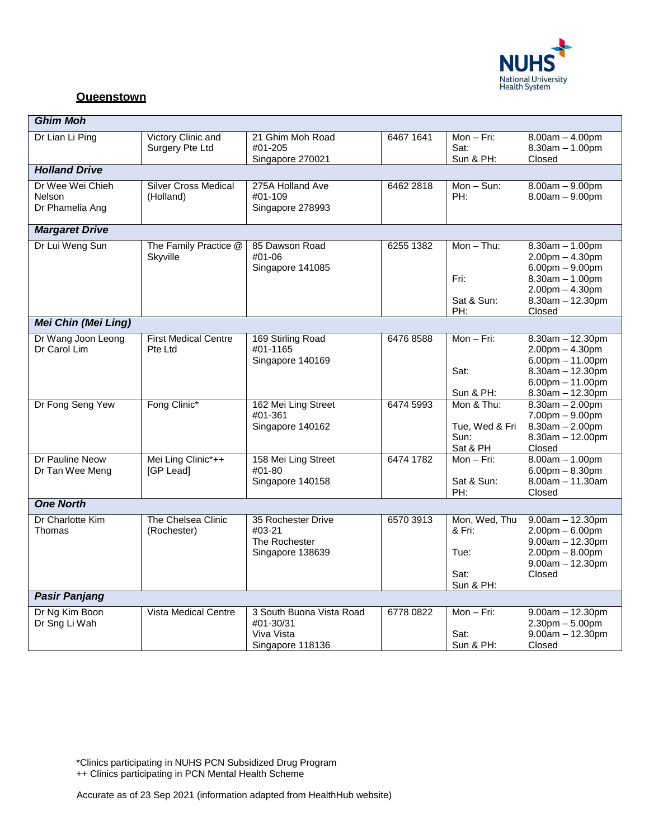

#### **Queenstown**

| <b>Ghim Moh</b>                               |                                          |                                                                         |           |                                                      |                                                                                                                                                       |  |  |
|-----------------------------------------------|------------------------------------------|-------------------------------------------------------------------------|-----------|------------------------------------------------------|-------------------------------------------------------------------------------------------------------------------------------------------------------|--|--|
| Dr Lian Li Ping                               | Victory Clinic and<br>Surgery Pte Ltd    | 21 Ghim Moh Road<br>#01-205<br>Singapore 270021                         | 6467 1641 | Mon-Fri:<br>Sat:<br>Sun & PH:                        | $8.00am - 4.00pm$<br>$8.30am - 1.00pm$<br>Closed                                                                                                      |  |  |
| <b>Holland Drive</b>                          |                                          |                                                                         |           |                                                      |                                                                                                                                                       |  |  |
| Dr Wee Wei Chieh<br>Nelson<br>Dr Phamelia Ang | <b>Silver Cross Medical</b><br>(Holland) | 275A Holland Ave<br>#01-109<br>Singapore 278993                         | 6462 2818 | $Mon-Sun:$<br>PH:                                    | $8.00am - 9.00pm$<br>$8.00am - 9.00pm$                                                                                                                |  |  |
| <b>Margaret Drive</b>                         |                                          |                                                                         |           |                                                      |                                                                                                                                                       |  |  |
| Dr Lui Weng Sun                               | The Family Practice @<br>Skyville        | 85 Dawson Road<br>#01-06<br>Singapore 141085                            | 6255 1382 | $Mon - Thu$ :<br>Fri:<br>Sat & Sun:<br>PH:           | $8.30am - 1.00pm$<br>$2.00$ pm $- 4.30$ pm<br>$6.00$ pm $- 9.00$ pm<br>$8.30am - 1.00pm$<br>$2.00$ pm $- 4.30$ pm<br>$8.30$ am $- 12.30$ pm<br>Closed |  |  |
| <b>Mei Chin (Mei Ling)</b>                    |                                          |                                                                         |           |                                                      |                                                                                                                                                       |  |  |
| Dr Wang Joon Leong<br>Dr Carol Lim            | <b>First Medical Centre</b><br>Pte Ltd   | 169 Stirling Road<br>#01-1165<br>Singapore 140169                       | 6476 8588 | Mon $-$ Fri:<br>Sat:<br>Sun & PH:                    | $8.30$ am $- 12.30$ pm<br>$2.00$ pm $- 4.30$ pm<br>$6.00$ pm $- 11.00$ pm<br>$8.30$ am $- 12.30$ pm<br>$6.00$ pm $- 11.00$ pm<br>$8.30am - 12.30pm$   |  |  |
| Dr Fong Seng Yew                              | Fong Clinic*                             | 162 Mei Ling Street<br>#01-361<br>Singapore 140162                      | 6474 5993 | Mon & Thu:<br>Tue, Wed & Fri<br>Sun:<br>Sat & PH     | $8.30am - 2.00pm$<br>$7.00pm - 9.00pm$<br>$8.30am - 2.00pm$<br>$8.30$ am $- 12.00$ pm<br>Closed                                                       |  |  |
| Dr Pauline Neow<br>Dr Tan Wee Meng            | Mei Ling Clinic*++<br>[GP Lead]          | 158 Mei Ling Street<br>#01-80<br>Singapore 140158                       | 6474 1782 | $Mon - Fri$ :<br>Sat & Sun:<br>PH:                   | $8.00am - 1.00pm$<br>$6.00$ pm $- 8.30$ pm<br>$8.00am - 11.30am$<br>Closed                                                                            |  |  |
| <b>One North</b>                              |                                          |                                                                         |           |                                                      |                                                                                                                                                       |  |  |
| Dr Charlotte Kim<br>Thomas                    | The Chelsea Clinic<br>(Rochester)        | 35 Rochester Drive<br>#03-21<br>The Rochester<br>Singapore 138639       | 6570 3913 | Mon, Wed, Thu<br>& Fri:<br>Tue:<br>Sat:<br>Sun & PH: | $9.00am - 12.30pm$<br>$2.00$ pm $- 6.00$ pm<br>$9.00am - 12.30pm$<br>$2.00$ pm $- 8.00$ pm<br>$9.00am - 12.30pm$<br>Closed                            |  |  |
| <b>Pasir Panjang</b>                          |                                          |                                                                         |           |                                                      |                                                                                                                                                       |  |  |
| Dr Ng Kim Boon<br>Dr Sng Li Wah               | <b>Vista Medical Centre</b>              | 3 South Buona Vista Road<br>#01-30/31<br>Viva Vista<br>Singapore 118136 | 6778 0822 | Mon $-$ Fri:<br>Sat:<br>Sun & PH:                    | $9.00am - 12.30pm$<br>$2.30$ pm $- 5.00$ pm<br>$9.00am - 12.30pm$<br>Closed                                                                           |  |  |

\*Clinics participating in NUHS PCN Subsidized Drug Program

++ Clinics participating in PCN Mental Health Scheme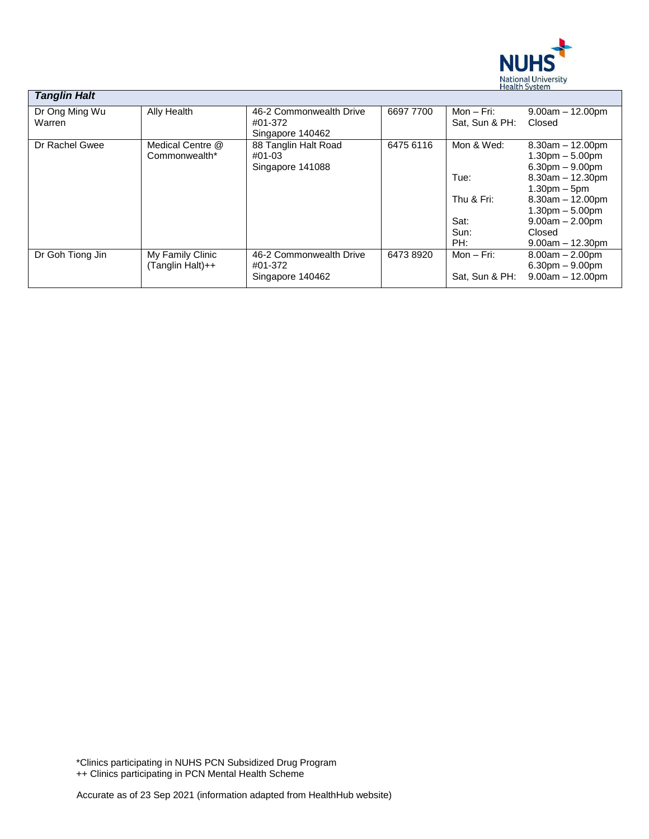

| <b>Tanglin Halt</b>      |                                      |                                                        |           |                                                  |                                                                                                                                                                                   |
|--------------------------|--------------------------------------|--------------------------------------------------------|-----------|--------------------------------------------------|-----------------------------------------------------------------------------------------------------------------------------------------------------------------------------------|
| Dr Ong Ming Wu<br>Warren | Ally Health                          | 46-2 Commonwealth Drive<br>#01-372<br>Singapore 140462 | 6697 7700 | Mon – Fri:<br>Sat, Sun & PH:                     | $9.00am - 12.00pm$<br>Closed                                                                                                                                                      |
| Dr Rachel Gwee           | Medical Centre @<br>Commonwealth*    | 88 Tanglin Halt Road<br>#01-03<br>Singapore 141088     | 6475 6116 | Mon & Wed:<br>Tue:<br>Thu & Fri:<br>Sat:<br>Sun: | $8.30$ am $-12.00$ pm<br>$1.30pm - 5.00pm$<br>$6.30pm - 9.00pm$<br>$8.30am - 12.30pm$<br>$1.30pm - 5pm$<br>$8.30am - 12.00pm$<br>$1.30pm - 5.00pm$<br>$9.00am - 2.00pm$<br>Closed |
|                          |                                      |                                                        |           | PH:                                              | $9.00am - 12.30pm$                                                                                                                                                                |
| Dr Goh Tiong Jin         | My Family Clinic<br>(Tanglin Halt)++ | 46-2 Commonwealth Drive<br>#01-372<br>Singapore 140462 | 64738920  | Mon $-$ Fri:<br>Sat, Sun & PH:                   | $8.00am - 2.00pm$<br>$6.30pm - 9.00pm$<br>$9.00am - 12.00pm$                                                                                                                      |

\*Clinics participating in NUHS PCN Subsidized Drug Program ++ Clinics participating in PCN Mental Health Scheme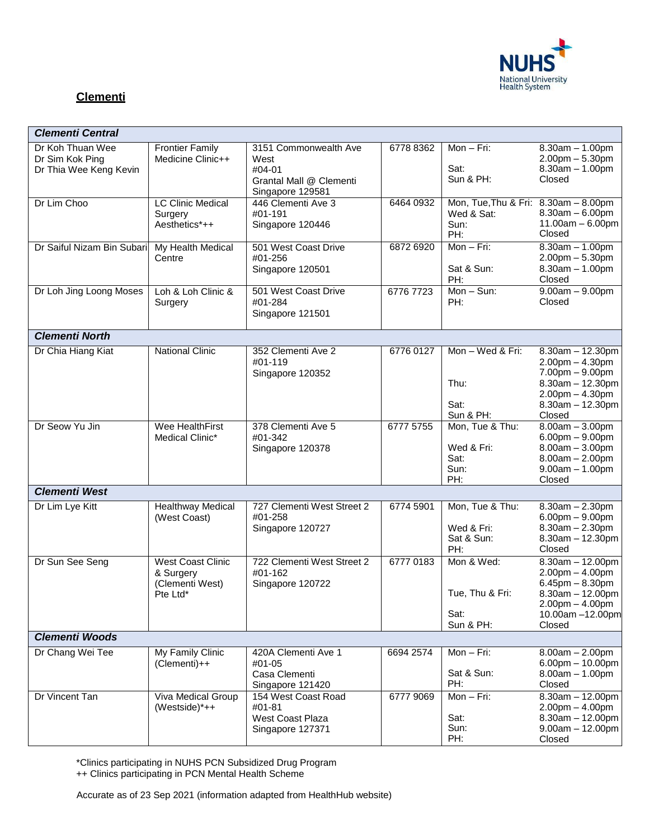

## **Clementi**

| <b>Clementi Central</b>                                       |                                                                      |                                                                                        |           |                                                                   |                                                                                                                                                   |
|---------------------------------------------------------------|----------------------------------------------------------------------|----------------------------------------------------------------------------------------|-----------|-------------------------------------------------------------------|---------------------------------------------------------------------------------------------------------------------------------------------------|
| Dr Koh Thuan Wee<br>Dr Sim Kok Ping<br>Dr Thia Wee Keng Kevin | <b>Frontier Family</b><br>Medicine Clinic++                          | 3151 Commonwealth Ave<br>West<br>#04-01<br>Grantal Mall @ Clementi<br>Singapore 129581 | 6778 8362 | Mon $-$ Fri:<br>Sat:<br>Sun & PH:                                 | $8.30am - 1.00pm$<br>$2.00$ pm $- 5.30$ pm<br>$8.30am - 1.00pm$<br>Closed                                                                         |
| Dr Lim Choo                                                   | <b>LC Clinic Medical</b><br>Surgery<br>Aesthetics*++                 | 446 Clementi Ave 3<br>#01-191<br>Singapore 120446                                      | 6464 0932 | Mon, Tue, Thu & Fri: 8.30am - 8.00pm<br>Wed & Sat:<br>Sun:<br>PH: | $8.30$ am $-6.00$ pm<br>$11.00am - 6.00pm$<br>Closed                                                                                              |
| Dr Saiful Nizam Bin Subari                                    | My Health Medical<br>Centre                                          | 501 West Coast Drive<br>#01-256<br>Singapore 120501                                    | 6872 6920 | $Mon-Fri:$<br>Sat & Sun:<br>PH:                                   | $8.30am - 1.00pm$<br>$2.00$ pm $- 5.30$ pm<br>$8.30am - 1.00pm$<br>Closed                                                                         |
| Dr Loh Jing Loong Moses                                       | Loh & Loh Clinic &<br>Surgery                                        | 501 West Coast Drive<br>#01-284<br>Singapore 121501                                    | 6776 7723 | $Mon-Sun:$<br>PH:                                                 | $9.00am - 9.00pm$<br>Closed                                                                                                                       |
| <b>Clementi North</b>                                         |                                                                      |                                                                                        |           |                                                                   |                                                                                                                                                   |
| Dr Chia Hiang Kiat                                            | <b>National Clinic</b>                                               | 352 Clementi Ave 2<br>#01-119<br>Singapore 120352                                      | 6776 0127 | Mon - Wed & Fri:<br>Thu:<br>Sat:<br>Sun & PH:                     | $8.30$ am $- 12.30$ pm<br>$2.00pm - 4.30pm$<br>$7.00pm - 9.00pm$<br>8.30am - 12.30pm<br>$2.00$ pm $- 4.30$ pm<br>8.30am - 12.30pm<br>Closed       |
| Dr Seow Yu Jin                                                | Wee HealthFirst<br>Medical Clinic*                                   | 378 Clementi Ave 5<br>#01-342<br>Singapore 120378                                      | 6777 5755 | Mon, Tue & Thu:<br>Wed & Fri:<br>Sat:<br>Sun:<br>PH:              | $8.00am - 3.00pm$<br>$6.00pm - 9.00pm$<br>$8.00am - 3.00pm$<br>$8.00am - 2.00pm$<br>$9.00am - 1.00pm$<br>Closed                                   |
| <b>Clementi West</b>                                          |                                                                      |                                                                                        |           |                                                                   |                                                                                                                                                   |
| Dr Lim Lye Kitt                                               | <b>Healthway Medical</b><br>(West Coast)                             | 727 Clementi West Street 2<br>#01-258<br>Singapore 120727                              | 6774 5901 | Mon, Tue & Thu:<br>Wed & Fri:<br>Sat & Sun:<br>PH:                | $8.30$ am $- 2.30$ pm<br>$6.00pm - 9.00pm$<br>$8.30am - 2.30pm$<br>8.30am - 12.30pm<br>Closed                                                     |
| Dr Sun See Seng                                               | <b>West Coast Clinic</b><br>& Surgery<br>(Clementi West)<br>Pte Ltd* | 722 Clementi West Street 2<br>#01-162<br>Singapore 120722                              | 6777 0183 | Mon & Wed:<br>Tue, Thu & Fri:<br>Sat:<br>Sun & PH:                | $8.30$ am $- 12.00$ pm<br>$2.00$ pm $- 4.00$ pm<br>$6.45$ pm $- 8.30$ pm<br>$8.30am - 12.00pm$<br>$2.00pm - 4.00pm$<br>10.00am -12.00pm<br>Closed |
| <b>Clementi Woods</b>                                         |                                                                      |                                                                                        |           |                                                                   |                                                                                                                                                   |
| Dr Chang Wei Tee                                              | My Family Clinic<br>$(Clement)++$                                    | 420A Clementi Ave 1<br>#01-05<br>Casa Clementi<br>Singapore 121420                     | 6694 2574 | Mon - Fri:<br>Sat & Sun:<br>PH:                                   | $8.00am - 2.00pm$<br>$6.00$ pm $- 10.00$ pm<br>$8.00am - 1.00pm$<br>Closed                                                                        |
| Dr Vincent Tan                                                | <b>Viva Medical Group</b><br>(Westside) $^*$ ++                      | 154 West Coast Road<br>#01-81<br>West Coast Plaza<br>Singapore 127371                  | 6777 9069 | Mon - Fri:<br>Sat:<br>Sun:<br>PH:                                 | $8.30am - 12.00pm$<br>$2.00$ pm $- 4.00$ pm<br>$8.30am - 12.00pm$<br>$9.00am - 12.00pm$<br>Closed                                                 |

\*Clinics participating in NUHS PCN Subsidized Drug Program

++ Clinics participating in PCN Mental Health Scheme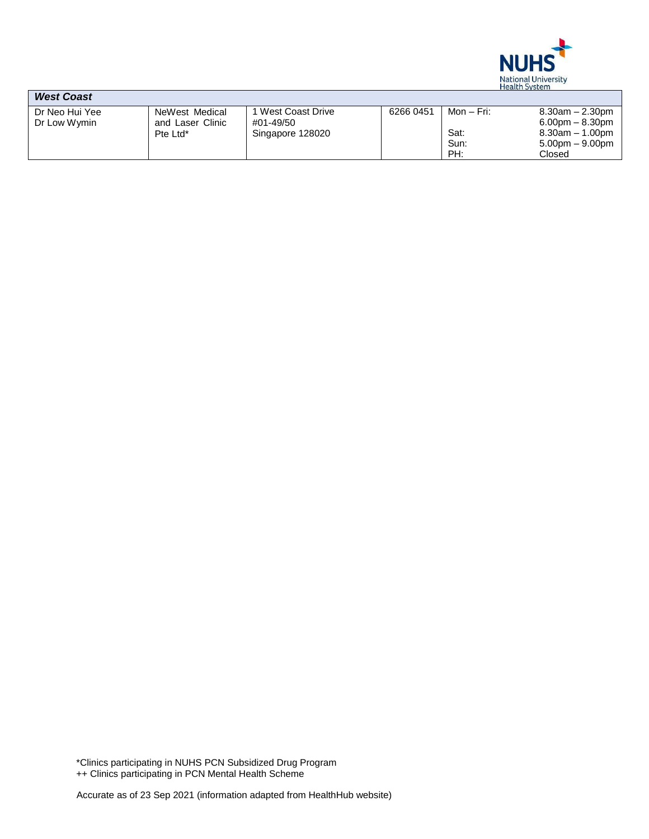

| <b>West Coast</b> |                  |                  |           |            |                       |
|-------------------|------------------|------------------|-----------|------------|-----------------------|
| Dr Neo Hui Yee    | NeWest Medical   | West Coast Drive | 6266 0451 | Mon – Fri: | $8.30$ am $- 2.30$ pm |
| Dr Low Wymin      | and Laser Clinic | #01-49/50        |           |            | $6.00$ pm $- 8.30$ pm |
|                   | Pte Ltd*         | Singapore 128020 |           | Sat:       | $8.30$ am $-1.00$ pm  |
|                   |                  |                  |           | Sun:       | $5.00pm - 9.00pm$     |
|                   |                  |                  |           | PH:        | Closed                |

\*Clinics participating in NUHS PCN Subsidized Drug Program ++ Clinics participating in PCN Mental Health Scheme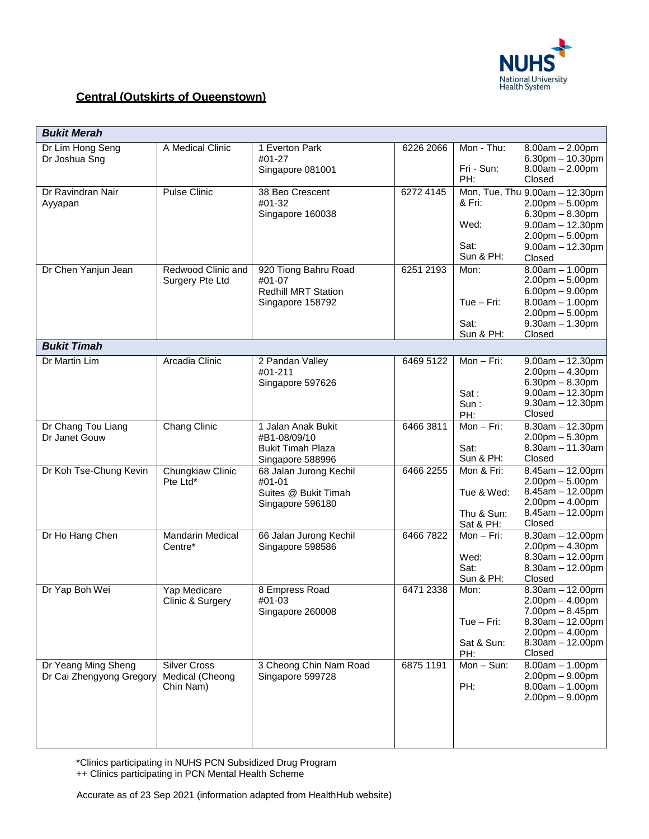

#### **Central (Outskirts of Queenstown)**

| <b>Bukit Merah</b>                  |                                       |                                                |           |                          |                                                                  |
|-------------------------------------|---------------------------------------|------------------------------------------------|-----------|--------------------------|------------------------------------------------------------------|
| Dr Lim Hong Seng<br>Dr Joshua Sng   | A Medical Clinic                      | 1 Everton Park<br>#01-27<br>Singapore 081001   | 6226 2066 | Mon - Thu:<br>Fri - Sun: | $8.00am - 2.00pm$<br>$6.30$ pm $- 10.30$ pm<br>$8.00am - 2.00pm$ |
|                                     |                                       |                                                |           | PH:                      | Closed                                                           |
| Dr Ravindran Nair<br>Ayyapan        | <b>Pulse Clinic</b>                   | 38 Beo Crescent<br>#01-32                      | 6272 4145 | & Fri:                   | Mon, Tue, Thu 9.00am - 12.30pm<br>$2.00$ pm $- 5.00$ pm          |
|                                     |                                       | Singapore 160038                               |           | Wed:                     | $6.30pm - 8.30pm$<br>$9.00am - 12.30pm$                          |
|                                     |                                       |                                                |           | Sat:<br>Sun & PH:        | $2.00$ pm $- 5.00$ pm<br>$9.00am - 12.30pm$<br>Closed            |
| Dr Chen Yanjun Jean                 | Redwood Clinic and<br>Surgery Pte Ltd | 920 Tiong Bahru Road<br>#01-07                 | 6251 2193 | Mon:                     | $8.00am - 1.00pm$<br>$2.00$ pm $-5.00$ pm                        |
|                                     |                                       | <b>Redhill MRT Station</b><br>Singapore 158792 |           | $Tue - Fri:$             | $6.00pm - 9.00pm$<br>$8.00am - 1.00pm$                           |
|                                     |                                       |                                                |           | Sat:<br>Sun & PH:        | $2.00pm - 5.00pm$<br>$9.30am - 1.30pm$<br>Closed                 |
| <b>Bukit Timah</b>                  |                                       |                                                |           |                          |                                                                  |
| Dr Martin Lim                       | Arcadia Clinic                        | 2 Pandan Valley<br>#01-211                     | 6469 5122 | Mon - Fri:               | $9.00am - 12.30pm$<br>$2.00$ pm $- 4.30$ pm                      |
|                                     |                                       | Singapore 597626                               |           | Sat:                     | $6.30pm - 8.30pm$<br>$9.00am - 12.30pm$                          |
|                                     |                                       |                                                |           | Sum:<br>PH:              | $9.30$ am $- 12.30$ pm<br>Closed                                 |
| Dr Chang Tou Liang<br>Dr Janet Gouw | <b>Chang Clinic</b>                   | 1 Jalan Anak Bukit<br>#B1-08/09/10             | 6466 3811 | Mon - Fri:               | $8.30$ am $- 12.30$ pm<br>$2.00pm - 5.30pm$                      |
|                                     |                                       | <b>Bukit Timah Plaza</b><br>Singapore 588996   |           | Sat:<br>Sun & PH:        | $8.30am - 11.30am$<br>Closed                                     |
| Dr Koh Tse-Chung Kevin              | Chungkiaw Clinic<br>Pte Ltd*          | 68 Jalan Jurong Kechil<br>#01-01               | 6466 2255 | Mon & Fri:               | $8.45am - 12.00pm$<br>$2.00pm - 5.00pm$                          |
|                                     |                                       | Suites @ Bukit Timah<br>Singapore 596180       |           | Tue & Wed:               | $8.45$ am $-12.00$ pm<br>$2.00$ pm $- 4.00$ pm                   |
|                                     |                                       |                                                |           | Thu & Sun:<br>Sat & PH:  | $8.45$ am $-12.00$ pm<br>Closed                                  |
| Dr Ho Hang Chen                     | <b>Mandarin Medical</b><br>Centre*    | 66 Jalan Jurong Kechil<br>Singapore 598586     | 6466 7822 | Mon - Fri:               | $8.30am - 12.00pm$<br>$2.00pm - 4.30pm$                          |
|                                     |                                       |                                                |           | Wed:<br>Sat:             | $8.30am - 12.00pm$<br>$8.30am - 12.00pm$                         |
|                                     |                                       |                                                |           | Sun & PH:                | Closed                                                           |
| Dr Yap Boh Wei                      | Yap Medicare<br>Clinic & Surgery      | 8 Empress Road<br>#01-03                       | 6471 2338 | Mon:                     | $8.30am - 12.00pm$<br>2.00pm - 4.00pm                            |
|                                     |                                       | Singapore 260008                               |           | $Tue - Fri:$             | $7.00pm - 8.45pm$<br>$8.30$ am $- 12.00$ pm                      |
|                                     |                                       |                                                |           | Sat & Sun:<br>PH:        | $2.00pm - 4.00pm$<br>$8.30$ am $- 12.00$ pm<br>Closed            |
| Dr Yeang Ming Sheng                 | <b>Silver Cross</b>                   | 3 Cheong Chin Nam Road                         | 6875 1191 | $Mon-Sun:$               | $8.00am - 1.00pm$                                                |
| Dr Cai Zhengyong Gregory            | Medical (Cheong<br>Chin Nam)          | Singapore 599728                               |           | PH:                      | $2.00pm - 9.00pm$<br>$8.00am - 1.00pm$                           |
|                                     |                                       |                                                |           |                          | $2.00$ pm $-9.00$ pm                                             |

\*Clinics participating in NUHS PCN Subsidized Drug Program

++ Clinics participating in PCN Mental Health Scheme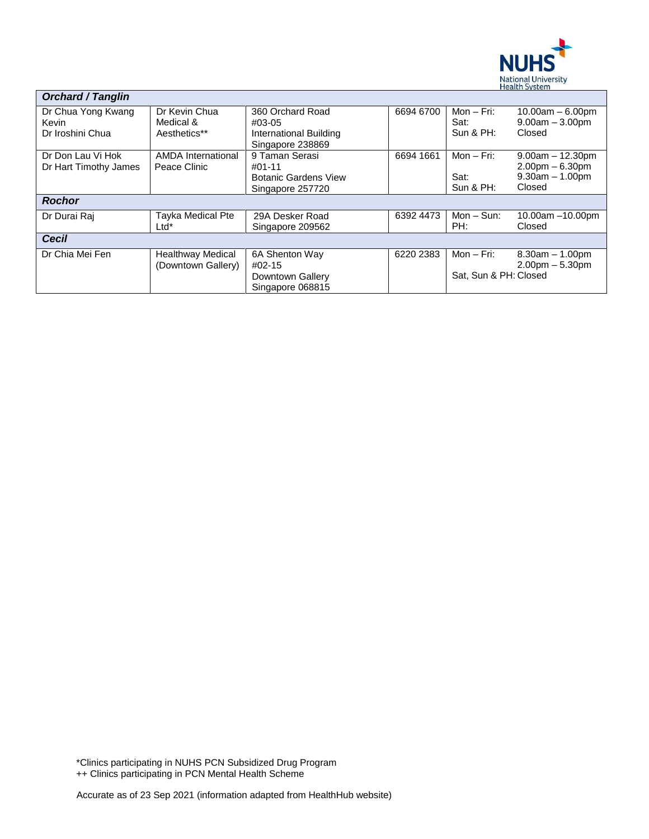

| <b>Orchard / Tanglin</b>                        |                                                |                                                                               |           |                                       |                                                                        |
|-------------------------------------------------|------------------------------------------------|-------------------------------------------------------------------------------|-----------|---------------------------------------|------------------------------------------------------------------------|
| Dr Chua Yong Kwang<br>Kevin<br>Dr Iroshini Chua | Dr Kevin Chua<br>Medical &<br>Aesthetics**     | 360 Orchard Road<br>#03-05<br>International Building<br>Singapore 238869      | 6694 6700 | Mon $-$ Fri:<br>Sat:<br>Sun & PH:     | $10.00am - 6.00pm$<br>$9.00am - 3.00pm$<br>Closed                      |
| Dr Don Lau Vi Hok<br>Dr Hart Timothy James      | <b>AMDA</b> International<br>Peace Clinic      | 9 Taman Serasi<br>$#01-11$<br><b>Botanic Gardens View</b><br>Singapore 257720 | 6694 1661 | Mon $-$ Fri:<br>Sat:<br>Sun & PH:     | $9.00am - 12.30pm$<br>$2.00pm - 6.30pm$<br>$9.30am - 1.00pm$<br>Closed |
| <b>Rochor</b>                                   |                                                |                                                                               |           |                                       |                                                                        |
| Dr Durai Raj                                    | Tayka Medical Pte<br>Ltd*                      | 29A Desker Road<br>Singapore 209562                                           | 6392 4473 | $Mon - Sun$ :<br>PH:                  | 10.00am $-10.00$ pm<br>Closed                                          |
| Cecil                                           |                                                |                                                                               |           |                                       |                                                                        |
| Dr Chia Mei Fen                                 | <b>Healthway Medical</b><br>(Downtown Gallery) | 6A Shenton Way<br>#02-15<br>Downtown Gallery<br>Singapore 068815              | 6220 2383 | Mon $-$ Fri:<br>Sat. Sun & PH: Closed | $8.30am - 1.00pm$<br>$2.00pm - 5.30pm$                                 |

\*Clinics participating in NUHS PCN Subsidized Drug Program ++ Clinics participating in PCN Mental Health Scheme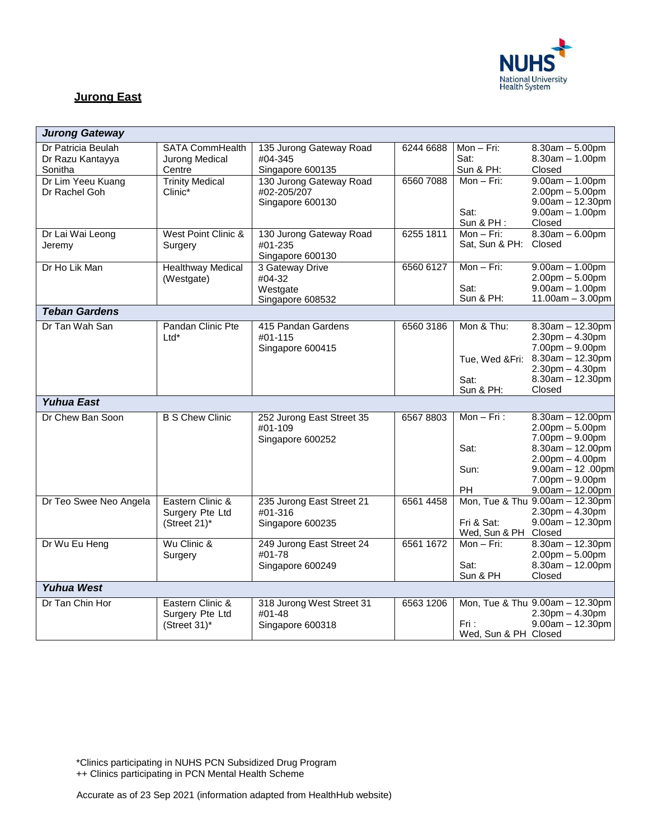

# **Jurong East**

| <b>Jurong Gateway</b>  |                          |                                    |           |                              |                                         |
|------------------------|--------------------------|------------------------------------|-----------|------------------------------|-----------------------------------------|
| Dr Patricia Beulah     | <b>SATA CommHealth</b>   | 135 Jurong Gateway Road            | 6244 6688 | $Mon-Fri:$                   | $8.30am - 5.00pm$                       |
| Dr Razu Kantayya       | Jurong Medical           | #04-345                            |           | Sat:                         | $8.30am - 1.00pm$                       |
| Sonitha                | Centre                   | Singapore 600135                   |           | Sun & PH:                    | Closed                                  |
| Dr Lim Yeeu Kuang      | <b>Trinity Medical</b>   | 130 Jurong Gateway Road            | 65607088  | $Mon-Fri:$                   | $9.00am - 1.00pm$                       |
| Dr Rachel Goh          | Clinic*                  | #02-205/207                        |           |                              | $2.00$ pm $- 5.00$ pm                   |
|                        |                          | Singapore 600130                   |           |                              | $9.00am - 12.30pm$                      |
|                        |                          |                                    |           | Sat:                         | $9.00am - 1.00pm$                       |
|                        |                          |                                    |           | Sun & PH:                    | Closed                                  |
| Dr Lai Wai Leong       | West Point Clinic &      | 130 Jurong Gateway Road<br>#01-235 | 6255 1811 | Mon - Fri:<br>Sat, Sun & PH: | $8.30am - 6.00pm$<br>Closed             |
| Jeremy                 | Surgery                  | Singapore 600130                   |           |                              |                                         |
| Dr Ho Lik Man          | <b>Healthway Medical</b> | 3 Gateway Drive                    | 6560 6127 | $Mon-Fri:$                   | $9.00am - 1.00pm$                       |
|                        | (Westgate)               | #04-32                             |           |                              | $2.00$ pm $-5.00$ pm                    |
|                        |                          | Westgate                           |           | Sat:                         | $9.00am - 1.00pm$                       |
|                        |                          | Singapore 608532                   |           | Sun & PH:                    | $11.00am - 3.00pm$                      |
| <b>Teban Gardens</b>   |                          |                                    |           |                              |                                         |
| Dr Tan Wah San         | Pandan Clinic Pte        | 415 Pandan Gardens                 | 6560 3186 | Mon & Thu:                   | $8.30am - 12.30pm$                      |
|                        | $Ltd^*$                  | #01-115                            |           |                              | $2.30pm - 4.30pm$                       |
|                        |                          | Singapore 600415                   |           |                              | $7.00pm - 9.00pm$                       |
|                        |                          |                                    |           | Tue, Wed &Fri:               | $8.30am - 12.30pm$                      |
|                        |                          |                                    |           |                              | $2.30pm - 4.30pm$                       |
|                        |                          |                                    |           | Sat:                         | $8.30am - 12.30pm$                      |
|                        |                          |                                    |           | Sun & PH:                    | Closed                                  |
| <b>Yuhua East</b>      |                          |                                    |           |                              |                                         |
| Dr Chew Ban Soon       | <b>B S Chew Clinic</b>   | 252 Jurong East Street 35          | 65678803  | $Mon-Fri$ :                  | $8.30am - 12.00pm$                      |
|                        |                          | #01-109                            |           |                              | $2.00pm - 5.00pm$                       |
|                        |                          | Singapore 600252                   |           |                              | $7.00pm - 9.00pm$                       |
|                        |                          |                                    |           | Sat:                         | $8.30am - 12.00pm$                      |
|                        |                          |                                    |           | Sun:                         | $2.00pm - 4.00pm$                       |
|                        |                          |                                    |           |                              | $9.00am - 12.00pm$<br>$7.00pm - 9.00pm$ |
|                        |                          |                                    |           | PH                           | $9.00am - 12.00pm$                      |
| Dr Teo Swee Neo Angela | Eastern Clinic &         | 235 Jurong East Street 21          | 6561 4458 |                              | Mon, Tue & Thu 9.00am - 12.30pm         |
|                        | Surgery Pte Ltd          | #01-316                            |           |                              | $2.30pm - 4.30pm$                       |
|                        | (Street 21)*             | Singapore 600235                   |           | Fri & Sat:                   | $9.00am - 12.30pm$                      |
|                        |                          |                                    |           | Wed, Sun & PH Closed         |                                         |
| Dr Wu Eu Heng          | Wu Clinic &              | 249 Jurong East Street 24          | 6561 1672 | $Mon-Fri:$                   | $8.30am - 12.30pm$                      |
|                        | Surgery                  | #01-78                             |           |                              | $2.00pm - 5.00pm$                       |
|                        |                          | Singapore 600249                   |           | Sat:                         | $8.30$ am $- 12.00$ pm                  |
|                        |                          |                                    |           | Sun & PH                     | Closed                                  |
| <b>Yuhua West</b>      |                          |                                    |           |                              |                                         |
| Dr Tan Chin Hor        | Eastern Clinic &         | 318 Jurong West Street 31          | 6563 1206 |                              | Mon, Tue & Thu 9.00am - 12.30pm         |
|                        | Surgery Pte Ltd          | #01-48                             |           |                              | $2.30pm - 4.30pm$                       |
|                        | (Street 31)*             | Singapore 600318                   |           | Fri :                        | $9.00am - 12.30pm$                      |
|                        |                          |                                    |           | Wed, Sun & PH Closed         |                                         |

\*Clinics participating in NUHS PCN Subsidized Drug Program

++ Clinics participating in PCN Mental Health Scheme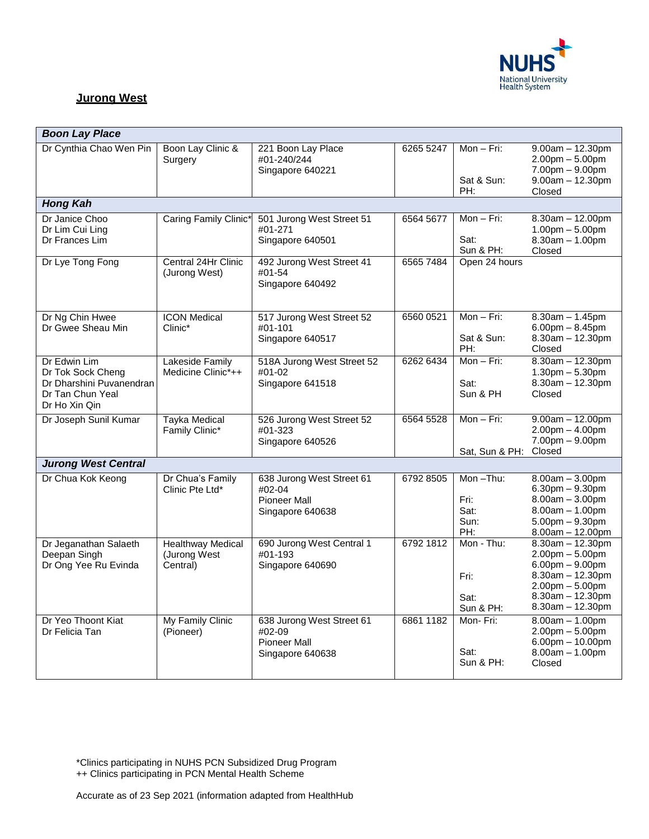

## **Jurong West**

| <b>Boon Lay Place</b>                                                                              |                                                      |                                                                                |           |                                         |                                                                                                                                                                   |  |  |
|----------------------------------------------------------------------------------------------------|------------------------------------------------------|--------------------------------------------------------------------------------|-----------|-----------------------------------------|-------------------------------------------------------------------------------------------------------------------------------------------------------------------|--|--|
| Dr Cynthia Chao Wen Pin                                                                            | Boon Lay Clinic &<br>Surgery                         | 221 Boon Lay Place<br>#01-240/244<br>Singapore 640221                          | 6265 5247 | Mon - Fri:<br>Sat & Sun:<br>PH:         | $9.00am - 12.30pm$<br>$2.00$ pm $- 5.00$ pm<br>$7.00pm - 9.00pm$<br>$9.00am - 12.30pm$<br>Closed                                                                  |  |  |
| <b>Hong Kah</b>                                                                                    |                                                      |                                                                                |           |                                         |                                                                                                                                                                   |  |  |
| Dr Janice Choo<br>Dr Lim Cui Ling<br>Dr Frances Lim                                                | Caring Family Clinic*                                | 501 Jurong West Street 51<br>#01-271<br>Singapore 640501                       | 6564 5677 | Mon - Fri:<br>Sat:<br>Sun & PH:         | $8.30$ am $- 12.00$ pm<br>$1.00$ pm $- 5.00$ pm<br>$8.30am - 1.00pm$<br>Closed                                                                                    |  |  |
| Dr Lye Tong Fong                                                                                   | Central 24Hr Clinic<br>(Jurong West)                 | 492 Jurong West Street 41<br>#01-54<br>Singapore 640492                        | 6565 7484 | Open 24 hours                           |                                                                                                                                                                   |  |  |
| Dr Ng Chin Hwee<br>Dr Gwee Sheau Min                                                               | <b>ICON Medical</b><br>Clinic*                       | 517 Jurong West Street 52<br>#01-101<br>Singapore 640517                       | 6560 0521 | $Mon-Fri:$<br>Sat & Sun:<br>PH:         | $8.30am - 1.45pm$<br>$6.00$ pm $- 8.45$ pm<br>$8.30$ am $- 12.30$ pm<br>Closed                                                                                    |  |  |
| Dr Edwin Lim<br>Dr Tok Sock Cheng<br>Dr Dharshini Puvanendran<br>Dr Tan Chun Yeal<br>Dr Ho Xin Qin | Lakeside Family<br>Medicine Clinic*++                | 518A Jurong West Street 52<br>#01-02<br>Singapore 641518                       | 6262 6434 | $Mon-Fri:$<br>Sat:<br>Sun & PH          | $8.30am - 12.30pm$<br>$1.30$ pm $- 5.30$ pm<br>$8.30$ am $- 12.30$ pm<br>Closed                                                                                   |  |  |
| Dr Joseph Sunil Kumar                                                                              | <b>Tayka Medical</b><br>Family Clinic*               | 526 Jurong West Street 52<br>#01-323<br>Singapore 640526                       | 6564 5528 | Mon $-$ Fri:<br>Sat, Sun & PH:          | $9.00am - 12.00pm$<br>$2.00$ pm $- 4.00$ pm<br>$7.00pm - 9.00pm$<br>Closed                                                                                        |  |  |
| <b>Jurong West Central</b>                                                                         |                                                      |                                                                                |           |                                         |                                                                                                                                                                   |  |  |
| Dr Chua Kok Keong                                                                                  | Dr Chua's Family<br>Clinic Pte Ltd*                  | 638 Jurong West Street 61<br>#02-04<br><b>Pioneer Mall</b><br>Singapore 640638 | 6792 8505 | Mon-Thu:<br>Fri:<br>Sat:<br>Sun:<br>PH: | $8.00am - 3.00pm$<br>$6.30$ pm $-9.30$ pm<br>$8.00am - 3.00pm$<br>$8.00am - 1.00pm$<br>$5.00$ pm $-9.30$ pm<br>$8.00am - 12.00pm$                                 |  |  |
| Dr Jeganathan Salaeth<br>Deepan Singh<br>Dr Ong Yee Ru Evinda                                      | <b>Healthway Medical</b><br>(Jurong West<br>Central) | 690 Jurong West Central 1<br>#01-193<br>Singapore 640690                       | 6792 1812 | Mon - Thu:<br>Fri:<br>Sat:<br>Sun & PH: | $8.30am - 12.30pm$<br>$2.00$ pm $- 5.00$ pm<br>$6.00$ pm $- 9.00$ pm<br>$8.30$ am $- 12.30$ pm<br>$2.00pm - 5.00pm$<br>$8.30$ am $- 12.30$ pm<br>8.30am - 12.30pm |  |  |
| Dr Yeo Thoont Kiat<br>Dr Felicia Tan                                                               | My Family Clinic<br>(Pioneer)                        | 638 Jurong West Street 61<br>#02-09<br><b>Pioneer Mall</b><br>Singapore 640638 | 6861 1182 | Mon-Fri:<br>Sat:<br>Sun & PH:           | $8.00am - 1.00pm$<br>$2.00$ pm $- 5.00$ pm<br>$6.00$ pm $- 10.00$ pm<br>$8.00am - 1.00pm$<br>Closed                                                               |  |  |

\*Clinics participating in NUHS PCN Subsidized Drug Program

++ Clinics participating in PCN Mental Health Scheme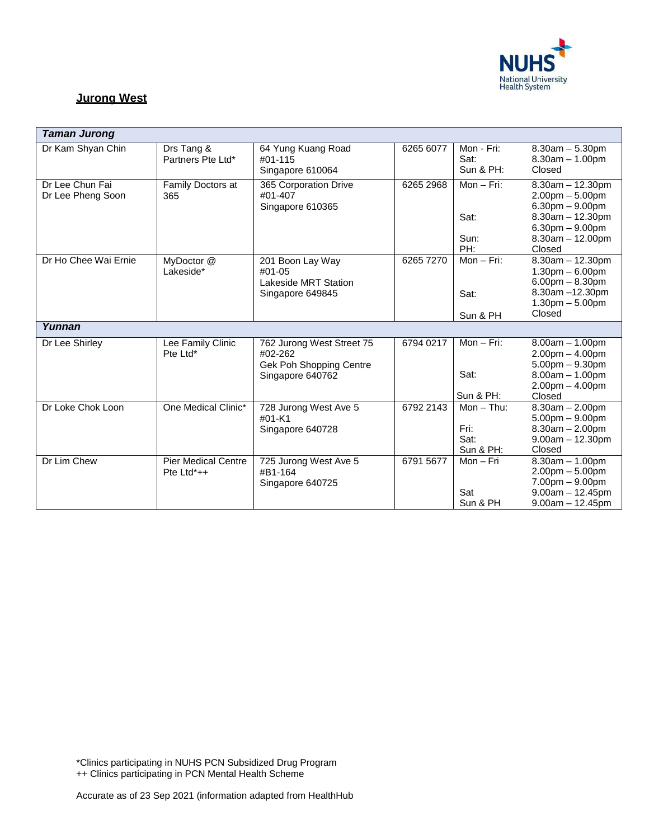

### **Jurong West**

| <b>Taman Jurong</b>                  |                                             |                                                                                     |           |                                            |                                                                                                                                                    |
|--------------------------------------|---------------------------------------------|-------------------------------------------------------------------------------------|-----------|--------------------------------------------|----------------------------------------------------------------------------------------------------------------------------------------------------|
| Dr Kam Shyan Chin                    | Drs Tang &<br>Partners Pte Ltd*             | 64 Yung Kuang Road<br>#01-115<br>Singapore 610064                                   | 6265 6077 | Mon - Fri:<br>Sat:<br>Sun & PH:            | $8.30am - 5.30pm$<br>$8.30am - 1.00pm$<br>Closed                                                                                                   |
| Dr Lee Chun Fai<br>Dr Lee Pheng Soon | Family Doctors at<br>365                    | 365 Corporation Drive<br>#01-407<br>Singapore 610365                                | 6265 2968 | Mon $-$ Fri:<br>Sat:<br>Sun:<br>PH:        | $8.30am - 12.30pm$<br>$2.00pm - 5.00pm$<br>$6.30pm - 9.00pm$<br>$8.30$ am $-12.30$ pm<br>$6.30$ pm $- 9.00$ pm<br>$8.30$ am $- 12.00$ pm<br>Closed |
| Dr Ho Chee Wai Ernie                 | MyDoctor @<br>Lakeside*                     | 201 Boon Lay Way<br>#01-05<br><b>Lakeside MRT Station</b><br>Singapore 649845       | 6265 7270 | $Mon-Fri:$<br>Sat:<br>Sun & PH             | $8.30am - 12.30pm$<br>$1.30pm - 6.00pm$<br>$6.00$ pm $- 8.30$ pm<br>8.30am -12.30pm<br>$1.30$ pm $- 5.00$ pm<br>Closed                             |
| Yunnan                               |                                             |                                                                                     |           |                                            |                                                                                                                                                    |
| Dr Lee Shirley                       | Lee Family Clinic<br>Pte Ltd*               | 762 Jurong West Street 75<br>#02-262<br>Gek Poh Shopping Centre<br>Singapore 640762 | 6794 0217 | Mon $-$ Fri:<br>Sat:<br>Sun & PH:          | $8.00am - 1.00pm$<br>$2.00pm - 4.00pm$<br>$5.00pm - 9.30pm$<br>$8.00am - 1.00pm$<br>$2.00pm - 4.00pm$<br>Closed                                    |
| Dr Loke Chok Loon                    | One Medical Clinic*                         | 728 Jurong West Ave 5<br>#01-K1<br>Singapore 640728                                 | 6792 2143 | $Mon - Thu$ :<br>Fri:<br>Sat:<br>Sun & PH: | $8.30$ am $- 2.00$ pm<br>$5.00pm - 9.00pm$<br>$8.30am - 2.00pm$<br>$9.00am - 12.30pm$<br>Closed                                                    |
| Dr Lim Chew                          | <b>Pier Medical Centre</b><br>Pte $Ltd^*++$ | 725 Jurong West Ave 5<br>#B1-164<br>Singapore 640725                                | 6791 5677 | $Mon-Fri$<br>Sat<br>Sun & PH               | $8.30am - 1.00pm$<br>$2.00pm - 5.00pm$<br>$7.00pm - 9.00pm$<br>$9.00am - 12.45pm$<br>$9.00am - 12.45pm$                                            |

\*Clinics participating in NUHS PCN Subsidized Drug Program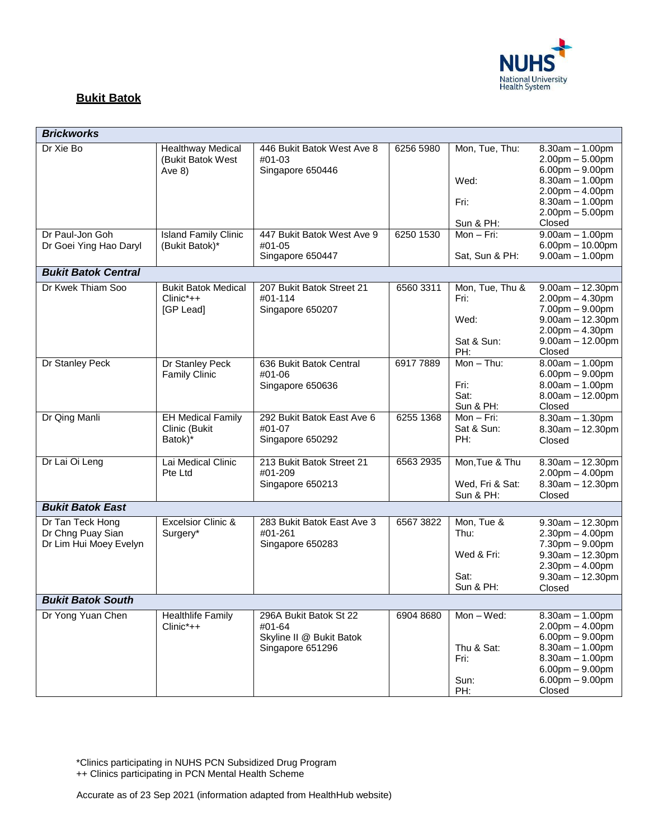

## **Bukit Batok**

| <b>Brickworks</b>                                               |                                                           |                                                                                  |           |                                                       |                                                                                                                                                                         |  |  |  |  |
|-----------------------------------------------------------------|-----------------------------------------------------------|----------------------------------------------------------------------------------|-----------|-------------------------------------------------------|-------------------------------------------------------------------------------------------------------------------------------------------------------------------------|--|--|--|--|
| Dr Xie Bo                                                       | <b>Healthway Medical</b><br>(Bukit Batok West<br>Ave $8)$ | 446 Bukit Batok West Ave 8<br>#01-03<br>Singapore 650446                         | 6256 5980 | Mon, Tue, Thu:<br>Wed:<br>Fri:<br>Sun & PH:           | $8.30am - 1.00pm$<br>$2.00$ pm $- 5.00$ pm<br>$6.00$ pm $-9.00$ pm<br>$8.30am - 1.00pm$<br>$2.00$ pm $- 4.00$ pm<br>$8.30am - 1.00pm$<br>$2.00$ pm $-5.00$ pm<br>Closed |  |  |  |  |
| Dr Paul-Jon Goh<br>Dr Goei Ying Hao Daryl                       | <b>Island Family Clinic</b><br>(Bukit Batok)*             | 447 Bukit Batok West Ave 9<br>#01-05<br>Singapore 650447                         | 6250 1530 | $Mon-Fri:$<br>Sat, Sun & PH:                          | $9.00am - 1.00pm$<br>$6.00$ pm $- 10.00$ pm<br>$9.00am - 1.00pm$                                                                                                        |  |  |  |  |
| <b>Bukit Batok Central</b>                                      |                                                           |                                                                                  |           |                                                       |                                                                                                                                                                         |  |  |  |  |
| Dr Kwek Thiam Soo                                               | <b>Bukit Batok Medical</b><br>$Clinic^*++$<br>[GP Lead]   | 207 Bukit Batok Street 21<br>#01-114<br>Singapore 650207                         | 6560 3311 | Mon, Tue, Thu &<br>Fri:<br>Wed:<br>Sat & Sun:<br>PH:  | $9.00am - 12.30pm$<br>$2.00pm - 4.30pm$<br>$7.00pm - 9.00pm$<br>$9.00am - 12.30pm$<br>$2.00$ pm $- 4.30$ pm<br>$9.00am - 12.00pm$<br>Closed                             |  |  |  |  |
| Dr Stanley Peck                                                 | Dr Stanley Peck<br><b>Family Clinic</b>                   | 636 Bukit Batok Central<br>#01-06<br>Singapore 650636                            | 69177889  | $Mon - Thu$ :<br>Fri:<br>Sat:<br>Sun & PH:            | $8.00am - 1.00pm$<br>$6.00$ pm $- 9.00$ pm<br>$8.00am - 1.00pm$<br>$8.00am - 12.00pm$<br>Closed                                                                         |  |  |  |  |
| Dr Qing Manli                                                   | <b>EH Medical Family</b><br>Clinic (Bukit<br>Batok)*      | 292 Bukit Batok East Ave 6<br>#01-07<br>Singapore 650292                         | 6255 1368 | Mon-Fri:<br>Sat & Sun:<br>PH:                         | $8.30am - 1.30pm$<br>$8.30am - 12.30pm$<br>Closed                                                                                                                       |  |  |  |  |
| Dr Lai Oi Leng                                                  | Lai Medical Clinic<br>Pte Ltd                             | 213 Bukit Batok Street 21<br>#01-209<br>Singapore 650213                         | 6563 2935 | Mon, Tue & Thu<br>Wed, Fri & Sat:<br>Sun & PH:        | $8.30$ am $- 12.30$ pm<br>$2.00pm - 4.00pm$<br>$8.30$ am $- 12.30$ pm<br>Closed                                                                                         |  |  |  |  |
| <b>Bukit Batok East</b>                                         |                                                           |                                                                                  |           |                                                       |                                                                                                                                                                         |  |  |  |  |
| Dr Tan Teck Hong<br>Dr Chng Puay Sian<br>Dr Lim Hui Moey Evelyn | Excelsior Clinic &<br>Surgery*                            | 283 Bukit Batok East Ave 3<br>#01-261<br>Singapore 650283                        | 6567 3822 | Mon, Tue &<br>Thu:<br>Wed & Fri:<br>Sat:<br>Sun & PH: | $9.30$ am $- 12.30$ pm<br>$2.30pm - 4.00pm$<br>7.30pm - 9.00pm<br>$9.30$ am $- 12.30$ pm<br>$2.30pm - 4.00pm$<br>$9.30$ am $- 12.30$ pm<br>Closed                       |  |  |  |  |
| <b>Bukit Batok South</b>                                        |                                                           |                                                                                  |           |                                                       |                                                                                                                                                                         |  |  |  |  |
| Dr Yong Yuan Chen                                               | <b>Healthlife Family</b><br>Clinic*++                     | 296A Bukit Batok St 22<br>#01-64<br>Skyline II @ Bukit Batok<br>Singapore 651296 | 6904 8680 | Mon-Wed:<br>Thu & Sat:<br>Fri:<br>Sun:<br>PH:         | $8.30am - 1.00pm$<br>$2.00$ pm $- 4.00$ pm<br>$6.00$ pm $-9.00$ pm<br>$8.30am - 1.00pm$<br>$8.30am - 1.00pm$<br>$6.00$ pm $-9.00$ pm<br>$6.00pm - 9.00pm$<br>Closed     |  |  |  |  |

\*Clinics participating in NUHS PCN Subsidized Drug Program

++ Clinics participating in PCN Mental Health Scheme